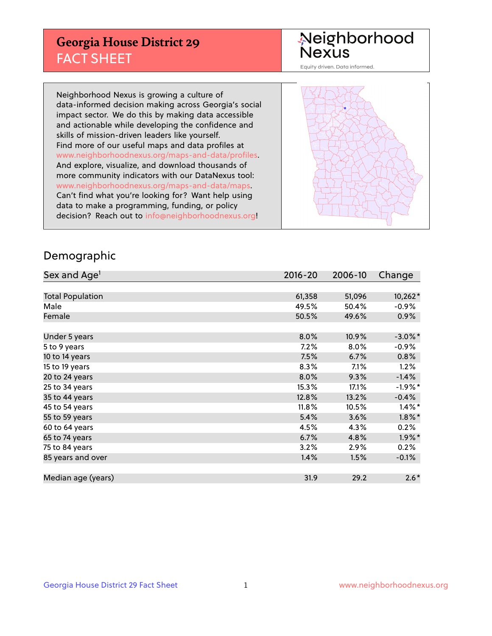## **Georgia House District 29** FACT SHEET

# Neighborhood<br>Nexus

Equity driven. Data informed.

Neighborhood Nexus is growing a culture of data-informed decision making across Georgia's social impact sector. We do this by making data accessible and actionable while developing the confidence and skills of mission-driven leaders like yourself. Find more of our useful maps and data profiles at www.neighborhoodnexus.org/maps-and-data/profiles. And explore, visualize, and download thousands of more community indicators with our DataNexus tool: www.neighborhoodnexus.org/maps-and-data/maps. Can't find what you're looking for? Want help using data to make a programming, funding, or policy decision? Reach out to [info@neighborhoodnexus.org!](mailto:info@neighborhoodnexus.org)



### Demographic

| Sex and Age <sup>1</sup> | $2016 - 20$ | 2006-10 | Change     |
|--------------------------|-------------|---------|------------|
|                          |             |         |            |
| <b>Total Population</b>  | 61,358      | 51,096  | 10,262*    |
| Male                     | 49.5%       | 50.4%   | $-0.9%$    |
| Female                   | 50.5%       | 49.6%   | $0.9\%$    |
|                          |             |         |            |
| Under 5 years            | 8.0%        | 10.9%   | $-3.0\%$ * |
| 5 to 9 years             | $7.2\%$     | 8.0%    | $-0.9%$    |
| 10 to 14 years           | 7.5%        | 6.7%    | 0.8%       |
| 15 to 19 years           | 8.3%        | 7.1%    | 1.2%       |
| 20 to 24 years           | 8.0%        | 9.3%    | $-1.4%$    |
| 25 to 34 years           | 15.3%       | 17.1%   | $-1.9%$ *  |
| 35 to 44 years           | 12.8%       | 13.2%   | $-0.4%$    |
| 45 to 54 years           | 11.8%       | 10.5%   | $1.4\%$ *  |
| 55 to 59 years           | 5.4%        | 3.6%    | $1.8\%$ *  |
| 60 to 64 years           | 4.5%        | 4.3%    | 0.2%       |
| 65 to 74 years           | 6.7%        | 4.8%    | $1.9\%$ *  |
| 75 to 84 years           | 3.2%        | 2.9%    | 0.2%       |
| 85 years and over        | 1.4%        | 1.5%    | $-0.1\%$   |
|                          |             |         |            |
| Median age (years)       | 31.9        | 29.2    | $2.6*$     |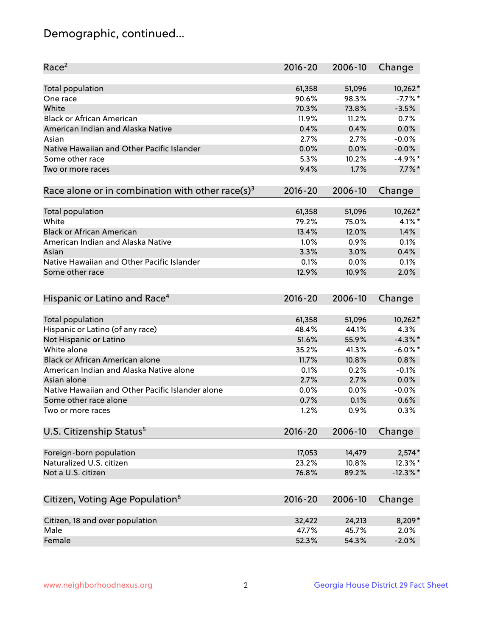## Demographic, continued...

| Race <sup>2</sup>                                            | $2016 - 20$ | 2006-10 | Change      |
|--------------------------------------------------------------|-------------|---------|-------------|
| <b>Total population</b>                                      | 61,358      | 51,096  | $10,262*$   |
| One race                                                     | 90.6%       | 98.3%   | $-7.7%$ *   |
| White                                                        | 70.3%       | 73.8%   | $-3.5%$     |
| <b>Black or African American</b>                             | 11.9%       | 11.2%   | 0.7%        |
| American Indian and Alaska Native                            | 0.4%        | 0.4%    | 0.0%        |
| Asian                                                        | 2.7%        | 2.7%    | $-0.0%$     |
| Native Hawaiian and Other Pacific Islander                   | 0.0%        | 0.0%    | $-0.0%$     |
| Some other race                                              | 5.3%        | 10.2%   | $-4.9%$ *   |
| Two or more races                                            | 9.4%        | 1.7%    | $7.7\%$ *   |
| Race alone or in combination with other race(s) <sup>3</sup> | $2016 - 20$ | 2006-10 | Change      |
|                                                              |             |         |             |
| Total population                                             | 61,358      | 51,096  | $10,262*$   |
| White                                                        | 79.2%       | 75.0%   | $4.1\%$ *   |
| <b>Black or African American</b>                             | 13.4%       | 12.0%   | 1.4%        |
| American Indian and Alaska Native                            | 1.0%        | 0.9%    | 0.1%        |
| Asian                                                        | 3.3%        | 3.0%    | 0.4%        |
| Native Hawaiian and Other Pacific Islander                   | 0.1%        | 0.0%    | 0.1%        |
| Some other race                                              | 12.9%       | 10.9%   | 2.0%        |
| Hispanic or Latino and Race <sup>4</sup>                     | $2016 - 20$ | 2006-10 | Change      |
| <b>Total population</b>                                      | 61,358      | 51,096  | $10,262*$   |
| Hispanic or Latino (of any race)                             | 48.4%       | 44.1%   | 4.3%        |
| Not Hispanic or Latino                                       | 51.6%       | 55.9%   | $-4.3\%$ *  |
| White alone                                                  | 35.2%       | 41.3%   | $-6.0\%$ *  |
| Black or African American alone                              | 11.7%       | 10.8%   | 0.8%        |
|                                                              |             |         |             |
| American Indian and Alaska Native alone                      | 0.1%        | 0.2%    | $-0.1%$     |
| Asian alone                                                  | 2.7%        | 2.7%    | 0.0%        |
| Native Hawaiian and Other Pacific Islander alone             | 0.0%        | 0.0%    | $-0.0%$     |
| Some other race alone                                        | 0.7%        | 0.1%    | 0.6%        |
| Two or more races                                            | 1.2%        | 0.9%    | 0.3%        |
| U.S. Citizenship Status <sup>5</sup>                         | 2016-20     | 2006-10 | Change      |
| Foreign-born population                                      | 17,053      | 14,479  | $2,574*$    |
| Naturalized U.S. citizen                                     | 23.2%       | 10.8%   | 12.3%*      |
| Not a U.S. citizen                                           | 76.8%       | 89.2%   | $-12.3\%$ * |
|                                                              |             |         |             |
| Citizen, Voting Age Population <sup>6</sup>                  | $2016 - 20$ | 2006-10 | Change      |
| Citizen, 18 and over population                              | 32,422      | 24,213  | 8,209*      |
| Male                                                         | 47.7%       | 45.7%   | 2.0%        |
| Female                                                       | 52.3%       | 54.3%   | $-2.0%$     |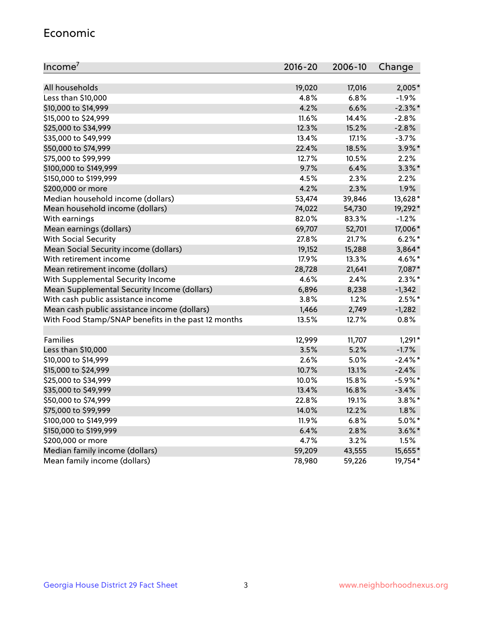#### Economic

| Income <sup>7</sup>                                 | $2016 - 20$ | 2006-10 | Change     |
|-----------------------------------------------------|-------------|---------|------------|
|                                                     |             |         |            |
| All households                                      | 19,020      | 17,016  | 2,005*     |
| Less than \$10,000                                  | 4.8%        | 6.8%    | $-1.9%$    |
| \$10,000 to \$14,999                                | 4.2%        | 6.6%    | $-2.3\%$ * |
| \$15,000 to \$24,999                                | 11.6%       | 14.4%   | $-2.8%$    |
| \$25,000 to \$34,999                                | 12.3%       | 15.2%   | $-2.8%$    |
| \$35,000 to \$49,999                                | 13.4%       | 17.1%   | $-3.7%$    |
| \$50,000 to \$74,999                                | 22.4%       | 18.5%   | $3.9\%$ *  |
| \$75,000 to \$99,999                                | 12.7%       | 10.5%   | 2.2%       |
| \$100,000 to \$149,999                              | 9.7%        | 6.4%    | $3.3\%$ *  |
| \$150,000 to \$199,999                              | 4.5%        | 2.3%    | 2.2%       |
| \$200,000 or more                                   | 4.2%        | 2.3%    | 1.9%       |
| Median household income (dollars)                   | 53,474      | 39,846  | 13,628*    |
| Mean household income (dollars)                     | 74,022      | 54,730  | 19,292*    |
| With earnings                                       | 82.0%       | 83.3%   | $-1.2%$    |
| Mean earnings (dollars)                             | 69,707      | 52,701  | 17,006*    |
| <b>With Social Security</b>                         | 27.8%       | 21.7%   | $6.2\%$ *  |
| Mean Social Security income (dollars)               | 19,152      | 15,288  | 3,864*     |
| With retirement income                              | 17.9%       | 13.3%   | 4.6%*      |
| Mean retirement income (dollars)                    | 28,728      | 21,641  | 7,087*     |
| With Supplemental Security Income                   | 4.6%        | 2.4%    | $2.3\%$ *  |
| Mean Supplemental Security Income (dollars)         | 6,896       | 8,238   | $-1,342$   |
| With cash public assistance income                  | 3.8%        | 1.2%    | $2.5%$ *   |
| Mean cash public assistance income (dollars)        | 1,466       | 2,749   | $-1,282$   |
| With Food Stamp/SNAP benefits in the past 12 months | 13.5%       | 12.7%   | 0.8%       |
|                                                     |             |         |            |
| Families                                            | 12,999      | 11,707  | $1,291*$   |
| Less than \$10,000                                  | 3.5%        | 5.2%    | $-1.7%$    |
| \$10,000 to \$14,999                                | 2.6%        | 5.0%    | $-2.4\%$ * |
| \$15,000 to \$24,999                                | 10.7%       | 13.1%   | $-2.4%$    |
| \$25,000 to \$34,999                                | 10.0%       | 15.8%   | $-5.9\%$ * |
| \$35,000 to \$49,999                                | 13.4%       | 16.8%   | $-3.4%$    |
| \$50,000 to \$74,999                                | 22.8%       | 19.1%   | $3.8\%$ *  |
| \$75,000 to \$99,999                                | 14.0%       | 12.2%   | 1.8%       |
| \$100,000 to \$149,999                              | 11.9%       | 6.8%    | $5.0\%$ *  |
| \$150,000 to \$199,999                              | 6.4%        | 2.8%    | $3.6\%$ *  |
| \$200,000 or more                                   | 4.7%        | 3.2%    | 1.5%       |
| Median family income (dollars)                      | 59,209      | 43,555  | 15,655*    |
| Mean family income (dollars)                        | 78,980      | 59,226  | 19,754*    |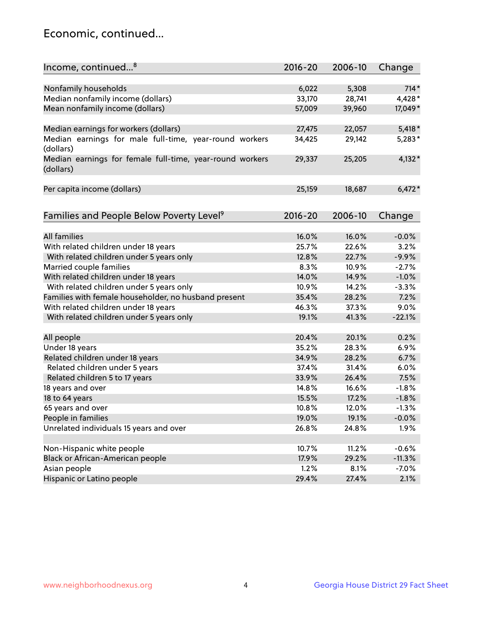## Economic, continued...

| Income, continued <sup>8</sup>                           | $2016 - 20$   | 2006-10        | Change   |
|----------------------------------------------------------|---------------|----------------|----------|
|                                                          |               |                |          |
| Nonfamily households                                     | 6,022         | 5,308          | $714*$   |
| Median nonfamily income (dollars)                        | 33,170        | 28,741         | 4,428*   |
| Mean nonfamily income (dollars)                          | 57,009        | 39,960         | 17,049*  |
|                                                          |               |                |          |
| Median earnings for workers (dollars)                    | 27,475        | 22,057         | $5,418*$ |
| Median earnings for male full-time, year-round workers   | 34,425        | 29,142         | $5,283*$ |
| (dollars)                                                |               |                |          |
| Median earnings for female full-time, year-round workers | 29,337        | 25,205         | $4,132*$ |
| (dollars)                                                |               |                |          |
|                                                          |               |                |          |
| Per capita income (dollars)                              | 25,159        | 18,687         | $6,472*$ |
|                                                          |               |                |          |
|                                                          | $2016 - 20$   | 2006-10        |          |
| Families and People Below Poverty Level <sup>9</sup>     |               |                | Change   |
| <b>All families</b>                                      | 16.0%         | 16.0%          | $-0.0%$  |
|                                                          | 25.7%         | 22.6%          | 3.2%     |
| With related children under 18 years                     | 12.8%         | 22.7%          | $-9.9%$  |
| With related children under 5 years only                 |               |                | $-2.7%$  |
| Married couple families                                  | 8.3%<br>14.0% | 10.9%<br>14.9% | $-1.0%$  |
| With related children under 18 years                     |               |                |          |
| With related children under 5 years only                 | 10.9%         | 14.2%          | $-3.3%$  |
| Families with female householder, no husband present     | 35.4%         | 28.2%          | 7.2%     |
| With related children under 18 years                     | 46.3%         | 37.3%          | 9.0%     |
| With related children under 5 years only                 | 19.1%         | 41.3%          | $-22.1%$ |
| All people                                               | 20.4%         | 20.1%          | 0.2%     |
| Under 18 years                                           | 35.2%         | 28.3%          | 6.9%     |
| Related children under 18 years                          | 34.9%         | 28.2%          | 6.7%     |
| Related children under 5 years                           | 37.4%         | 31.4%          | 6.0%     |
| Related children 5 to 17 years                           | 33.9%         | 26.4%          | 7.5%     |
| 18 years and over                                        | 14.8%         | 16.6%          | $-1.8%$  |
| 18 to 64 years                                           | 15.5%         | 17.2%          | $-1.8%$  |
| 65 years and over                                        | 10.8%         | 12.0%          | $-1.3%$  |
| People in families                                       | 19.0%         | 19.1%          | $-0.0%$  |
| Unrelated individuals 15 years and over                  | 26.8%         | 24.8%          | 1.9%     |
|                                                          |               |                |          |
| Non-Hispanic white people                                | 10.7%         | 11.2%          | $-0.6%$  |
| Black or African-American people                         | 17.9%         | 29.2%          | $-11.3%$ |
| Asian people                                             | 1.2%          | 8.1%           | $-7.0%$  |
| Hispanic or Latino people                                | 29.4%         | 27.4%          | 2.1%     |
|                                                          |               |                |          |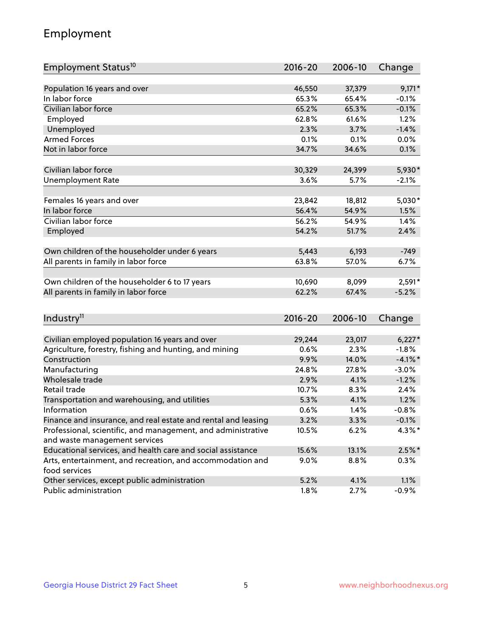## Employment

| Employment Status <sup>10</sup>                                                               | $2016 - 20$ | 2006-10 | Change     |
|-----------------------------------------------------------------------------------------------|-------------|---------|------------|
|                                                                                               |             |         |            |
| Population 16 years and over                                                                  | 46,550      | 37,379  | $9,171*$   |
| In labor force                                                                                | 65.3%       | 65.4%   | $-0.1%$    |
| Civilian labor force                                                                          | 65.2%       | 65.3%   | $-0.1%$    |
| Employed                                                                                      | 62.8%       | 61.6%   | 1.2%       |
| Unemployed                                                                                    | 2.3%        | 3.7%    | $-1.4%$    |
| <b>Armed Forces</b>                                                                           | 0.1%        | 0.1%    | 0.0%       |
| Not in labor force                                                                            | 34.7%       | 34.6%   | 0.1%       |
| Civilian labor force                                                                          | 30,329      | 24,399  | 5,930*     |
|                                                                                               | 3.6%        | 5.7%    | $-2.1%$    |
| <b>Unemployment Rate</b>                                                                      |             |         |            |
| Females 16 years and over                                                                     | 23,842      | 18,812  | $5,030*$   |
| In labor force                                                                                | 56.4%       | 54.9%   | 1.5%       |
| Civilian labor force                                                                          | 56.2%       | 54.9%   | 1.4%       |
| Employed                                                                                      | 54.2%       | 51.7%   | 2.4%       |
|                                                                                               |             |         |            |
| Own children of the householder under 6 years                                                 | 5,443       | 6,193   | $-749$     |
| All parents in family in labor force                                                          | 63.8%       | 57.0%   | 6.7%       |
| Own children of the householder 6 to 17 years                                                 | 10,690      | 8,099   | 2,591*     |
| All parents in family in labor force                                                          | 62.2%       | 67.4%   | $-5.2%$    |
|                                                                                               |             |         |            |
| Industry <sup>11</sup>                                                                        | $2016 - 20$ | 2006-10 | Change     |
|                                                                                               |             |         |            |
| Civilian employed population 16 years and over                                                | 29,244      | 23,017  | $6,227*$   |
| Agriculture, forestry, fishing and hunting, and mining                                        | 0.6%        | 2.3%    | $-1.8%$    |
| Construction                                                                                  | 9.9%        | 14.0%   | $-4.1\%$ * |
| Manufacturing                                                                                 | 24.8%       | 27.8%   | $-3.0%$    |
| Wholesale trade                                                                               | 2.9%        | 4.1%    | $-1.2%$    |
| Retail trade                                                                                  | 10.7%       | 8.3%    | 2.4%       |
| Transportation and warehousing, and utilities                                                 | 5.3%        | 4.1%    | 1.2%       |
| Information                                                                                   | 0.6%        | 1.4%    | $-0.8%$    |
| Finance and insurance, and real estate and rental and leasing                                 | 3.2%        | 3.3%    | $-0.1%$    |
| Professional, scientific, and management, and administrative<br>and waste management services | 10.5%       | 6.2%    | $4.3\%$ *  |
| Educational services, and health care and social assistance                                   | 15.6%       | 13.1%   | $2.5%$ *   |
| Arts, entertainment, and recreation, and accommodation and                                    | $9.0\%$     | 8.8%    | $0.3\%$    |
| food services                                                                                 |             |         |            |
| Other services, except public administration                                                  | 5.2%        | 4.1%    | 1.1%       |
| Public administration                                                                         | 1.8%        | 2.7%    | $-0.9%$    |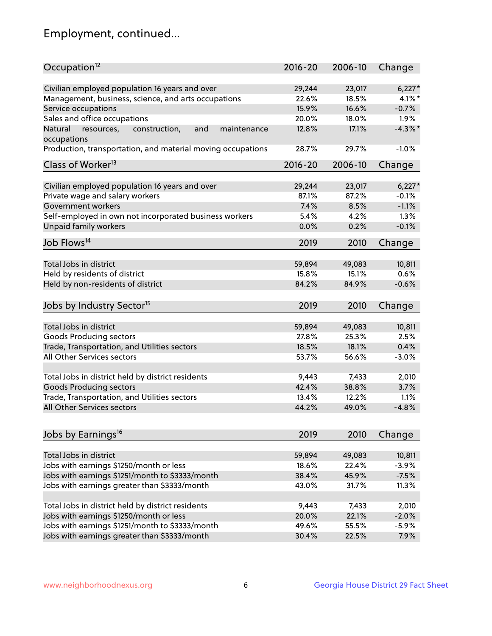## Employment, continued...

| Occupation <sup>12</sup>                                     | $2016 - 20$ | 2006-10 | Change     |
|--------------------------------------------------------------|-------------|---------|------------|
| Civilian employed population 16 years and over               | 29,244      | 23,017  | $6,227*$   |
| Management, business, science, and arts occupations          | 22.6%       | 18.5%   | $4.1\%$ *  |
| Service occupations                                          | 15.9%       | 16.6%   | $-0.7%$    |
| Sales and office occupations                                 | 20.0%       | 18.0%   | 1.9%       |
| Natural<br>resources,<br>and<br>construction,<br>maintenance | 12.8%       | 17.1%   | $-4.3\%$ * |
| occupations                                                  |             |         |            |
| Production, transportation, and material moving occupations  | 28.7%       | 29.7%   | $-1.0%$    |
| Class of Worker <sup>13</sup>                                | $2016 - 20$ | 2006-10 | Change     |
|                                                              |             |         |            |
| Civilian employed population 16 years and over               | 29,244      | 23,017  | $6,227*$   |
| Private wage and salary workers                              | 87.1%       | 87.2%   | $-0.1%$    |
| Government workers                                           | 7.4%        | 8.5%    | $-1.1%$    |
| Self-employed in own not incorporated business workers       | 5.4%        | 4.2%    | 1.3%       |
| Unpaid family workers                                        | 0.0%        | 0.2%    | $-0.1%$    |
| Job Flows <sup>14</sup>                                      | 2019        | 2010    | Change     |
|                                                              |             |         |            |
| Total Jobs in district                                       | 59,894      | 49,083  | 10,811     |
| Held by residents of district                                | 15.8%       | 15.1%   | 0.6%       |
| Held by non-residents of district                            | 84.2%       | 84.9%   | $-0.6%$    |
| Jobs by Industry Sector <sup>15</sup>                        | 2019        | 2010    | Change     |
| Total Jobs in district                                       | 59,894      | 49,083  | 10,811     |
| Goods Producing sectors                                      | 27.8%       | 25.3%   | 2.5%       |
| Trade, Transportation, and Utilities sectors                 | 18.5%       | 18.1%   | 0.4%       |
| All Other Services sectors                                   | 53.7%       | 56.6%   | $-3.0%$    |
|                                                              |             |         |            |
| Total Jobs in district held by district residents            | 9,443       | 7,433   | 2,010      |
| <b>Goods Producing sectors</b>                               | 42.4%       | 38.8%   | 3.7%       |
| Trade, Transportation, and Utilities sectors                 | 13.4%       | 12.2%   | 1.1%       |
| All Other Services sectors                                   | 44.2%       | 49.0%   | $-4.8%$    |
|                                                              |             |         |            |
| Jobs by Earnings <sup>16</sup>                               | 2019        | 2010    | Change     |
| Total Jobs in district                                       | 59,894      | 49,083  | 10,811     |
|                                                              | 18.6%       | 22.4%   | $-3.9%$    |
| Jobs with earnings \$1250/month or less                      | 38.4%       |         |            |
| Jobs with earnings \$1251/month to \$3333/month              |             | 45.9%   | $-7.5%$    |
| Jobs with earnings greater than \$3333/month                 | 43.0%       | 31.7%   | 11.3%      |
| Total Jobs in district held by district residents            | 9,443       | 7,433   | 2,010      |
| Jobs with earnings \$1250/month or less                      | 20.0%       | 22.1%   | $-2.0%$    |
| Jobs with earnings \$1251/month to \$3333/month              | 49.6%       | 55.5%   | $-5.9%$    |
| Jobs with earnings greater than \$3333/month                 | 30.4%       | 22.5%   | 7.9%       |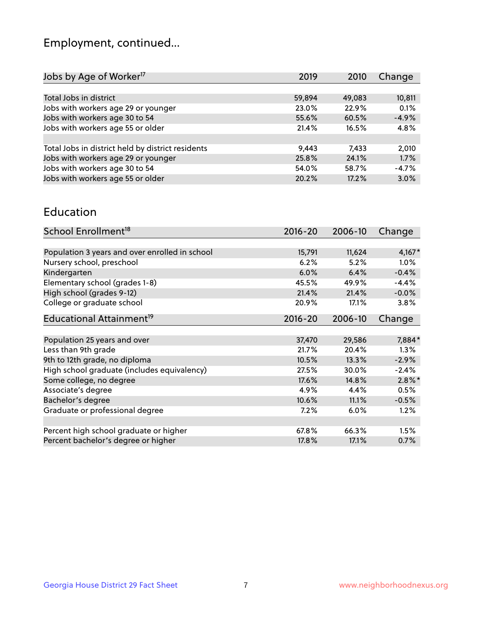## Employment, continued...

| 2019   | 2010   | Change  |
|--------|--------|---------|
|        |        |         |
| 59,894 | 49,083 | 10,811  |
| 23.0%  | 22.9%  | 0.1%    |
| 55.6%  | 60.5%  | $-4.9%$ |
| 21.4%  | 16.5%  | 4.8%    |
|        |        |         |
| 9,443  | 7.433  | 2,010   |
| 25.8%  | 24.1%  | 1.7%    |
| 54.0%  | 58.7%  | $-4.7%$ |
| 20.2%  | 17.2%  | 3.0%    |
|        |        |         |

#### Education

| School Enrollment <sup>18</sup>                | $2016 - 20$ | 2006-10 | Change    |
|------------------------------------------------|-------------|---------|-----------|
|                                                |             |         |           |
| Population 3 years and over enrolled in school | 15,791      | 11,624  | $4,167*$  |
| Nursery school, preschool                      | 6.2%        | 5.2%    | $1.0\%$   |
| Kindergarten                                   | 6.0%        | 6.4%    | $-0.4%$   |
| Elementary school (grades 1-8)                 | 45.5%       | 49.9%   | $-4.4%$   |
| High school (grades 9-12)                      | 21.4%       | 21.4%   | $-0.0%$   |
| College or graduate school                     | 20.9%       | 17.1%   | 3.8%      |
| Educational Attainment <sup>19</sup>           | $2016 - 20$ | 2006-10 | Change    |
|                                                |             |         |           |
| Population 25 years and over                   | 37,470      | 29,586  | 7,884*    |
| Less than 9th grade                            | 21.7%       | 20.4%   | 1.3%      |
| 9th to 12th grade, no diploma                  | 10.5%       | 13.3%   | $-2.9%$   |
| High school graduate (includes equivalency)    | 27.5%       | 30.0%   | $-2.4%$   |
| Some college, no degree                        | 17.6%       | 14.8%   | $2.8\%$ * |
| Associate's degree                             | 4.9%        | 4.4%    | 0.5%      |
| Bachelor's degree                              | 10.6%       | 11.1%   | $-0.5%$   |
| Graduate or professional degree                | 7.2%        | $6.0\%$ | 1.2%      |
|                                                |             |         |           |
| Percent high school graduate or higher         | 67.8%       | 66.3%   | 1.5%      |
| Percent bachelor's degree or higher            | 17.8%       | 17.1%   | 0.7%      |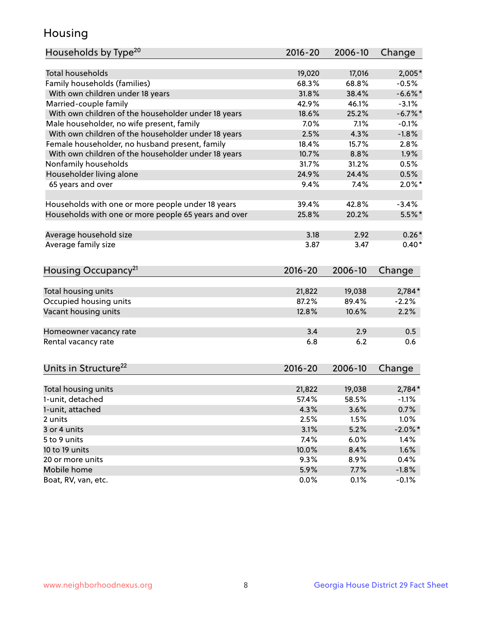## Housing

| Households by Type <sup>20</sup>                     | 2016-20 | 2006-10 | Change     |
|------------------------------------------------------|---------|---------|------------|
|                                                      |         |         |            |
| <b>Total households</b>                              | 19,020  | 17,016  | $2,005*$   |
| Family households (families)                         | 68.3%   | 68.8%   | $-0.5%$    |
| With own children under 18 years                     | 31.8%   | 38.4%   | $-6.6%$    |
| Married-couple family                                | 42.9%   | 46.1%   | $-3.1%$    |
| With own children of the householder under 18 years  | 18.6%   | 25.2%   | $-6.7\%$ * |
| Male householder, no wife present, family            | 7.0%    | 7.1%    | $-0.1%$    |
| With own children of the householder under 18 years  | 2.5%    | 4.3%    | $-1.8%$    |
| Female householder, no husband present, family       | 18.4%   | 15.7%   | 2.8%       |
| With own children of the householder under 18 years  | 10.7%   | 8.8%    | 1.9%       |
| Nonfamily households                                 | 31.7%   | 31.2%   | 0.5%       |
| Householder living alone                             | 24.9%   | 24.4%   | 0.5%       |
| 65 years and over                                    | 9.4%    | 7.4%    | $2.0\%$ *  |
|                                                      |         |         |            |
| Households with one or more people under 18 years    | 39.4%   | 42.8%   | $-3.4%$    |
| Households with one or more people 65 years and over | 25.8%   | 20.2%   | $5.5%$ *   |
|                                                      |         |         |            |
| Average household size                               | 3.18    | 2.92    | $0.26*$    |
| Average family size                                  | 3.87    | 3.47    | $0.40*$    |
|                                                      |         |         |            |
| Housing Occupancy <sup>21</sup>                      | 2016-20 | 2006-10 | Change     |
|                                                      |         |         |            |
| Total housing units                                  | 21,822  | 19,038  | $2,784*$   |
| Occupied housing units                               | 87.2%   | 89.4%   | $-2.2%$    |
| Vacant housing units                                 | 12.8%   | 10.6%   | 2.2%       |
|                                                      |         |         |            |
| Homeowner vacancy rate                               | 3.4     | 2.9     | 0.5        |
| Rental vacancy rate                                  | 6.8     | 6.2     | 0.6        |
|                                                      |         |         |            |
| Units in Structure <sup>22</sup>                     | 2016-20 | 2006-10 | Change     |
|                                                      |         |         |            |
| Total housing units                                  | 21,822  | 19,038  | $2,784*$   |
| 1-unit, detached                                     | 57.4%   | 58.5%   | $-1.1%$    |
| 1-unit, attached                                     | 4.3%    | 3.6%    | 0.7%       |
| 2 units                                              | 2.5%    | 1.5%    | 1.0%       |
| 3 or 4 units                                         | 3.1%    | 5.2%    | $-2.0\%$ * |
| 5 to 9 units                                         | 7.4%    | 6.0%    | 1.4%       |
| 10 to 19 units                                       | 10.0%   | 8.4%    | 1.6%       |
| 20 or more units                                     | 9.3%    | 8.9%    | 0.4%       |
| Mobile home                                          | 5.9%    | 7.7%    | $-1.8%$    |
| Boat, RV, van, etc.                                  | 0.0%    | 0.1%    | $-0.1%$    |
|                                                      |         |         |            |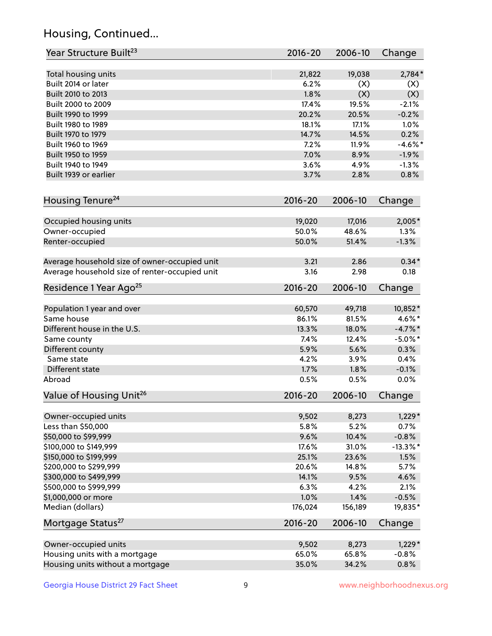## Housing, Continued...

| Year Structure Built <sup>23</sup>             | 2016-20     | 2006-10 | Change      |
|------------------------------------------------|-------------|---------|-------------|
| Total housing units                            | 21,822      | 19,038  | $2,784*$    |
| Built 2014 or later                            | 6.2%        | (X)     | (X)         |
| Built 2010 to 2013                             | 1.8%        | (X)     | (X)         |
| Built 2000 to 2009                             | 17.4%       | 19.5%   | $-2.1%$     |
| Built 1990 to 1999                             | 20.2%       | 20.5%   | $-0.2%$     |
| Built 1980 to 1989                             | 18.1%       | 17.1%   | 1.0%        |
| Built 1970 to 1979                             | 14.7%       | 14.5%   | 0.2%        |
| Built 1960 to 1969                             | 7.2%        | 11.9%   | $-4.6\%$ *  |
| Built 1950 to 1959                             | 7.0%        | 8.9%    | $-1.9%$     |
| Built 1940 to 1949                             | 3.6%        | 4.9%    | $-1.3%$     |
| Built 1939 or earlier                          | 3.7%        | 2.8%    | 0.8%        |
|                                                |             |         |             |
| Housing Tenure <sup>24</sup>                   | 2016-20     | 2006-10 | Change      |
| Occupied housing units                         | 19,020      | 17,016  | 2,005*      |
| Owner-occupied                                 | 50.0%       | 48.6%   | 1.3%        |
| Renter-occupied                                | 50.0%       | 51.4%   | $-1.3%$     |
|                                                |             |         |             |
| Average household size of owner-occupied unit  | 3.21        | 2.86    | $0.34*$     |
| Average household size of renter-occupied unit | 3.16        | 2.98    | 0.18        |
| Residence 1 Year Ago <sup>25</sup>             | 2016-20     | 2006-10 | Change      |
| Population 1 year and over                     | 60,570      | 49,718  | 10,852*     |
| Same house                                     | 86.1%       | 81.5%   | $4.6\%$ *   |
| Different house in the U.S.                    | 13.3%       | 18.0%   | $-4.7\%$ *  |
| Same county                                    | 7.4%        | 12.4%   | $-5.0\%$ *  |
| Different county                               | 5.9%        | 5.6%    | 0.3%        |
| Same state                                     | 4.2%        | 3.9%    | 0.4%        |
| Different state                                | 1.7%        | 1.8%    | $-0.1%$     |
| Abroad                                         | 0.5%        | 0.5%    | 0.0%        |
| Value of Housing Unit <sup>26</sup>            | $2016 - 20$ | 2006-10 | Change      |
|                                                |             |         |             |
| Owner-occupied units                           | 9,502       | 8,273   | $1,229*$    |
| Less than \$50,000                             | 5.8%        | 5.2%    | 0.7%        |
| \$50,000 to \$99,999                           | 9.6%        | 10.4%   | $-0.8%$     |
| \$100,000 to \$149,999                         | 17.6%       | 31.0%   | $-13.3\%$ * |
| \$150,000 to \$199,999                         | 25.1%       | 23.6%   | 1.5%        |
| \$200,000 to \$299,999                         | 20.6%       | 14.8%   | 5.7%        |
| \$300,000 to \$499,999                         | 14.1%       | 9.5%    | 4.6%        |
| \$500,000 to \$999,999                         | 6.3%        | 4.2%    | 2.1%        |
| \$1,000,000 or more                            | 1.0%        | 1.4%    | $-0.5%$     |
| Median (dollars)                               | 176,024     | 156,189 | 19,835*     |
| Mortgage Status <sup>27</sup>                  | $2016 - 20$ | 2006-10 | Change      |
| Owner-occupied units                           | 9,502       | 8,273   | $1,229*$    |
| Housing units with a mortgage                  | 65.0%       | 65.8%   | $-0.8%$     |
| Housing units without a mortgage               | 35.0%       | 34.2%   | 0.8%        |
|                                                |             |         |             |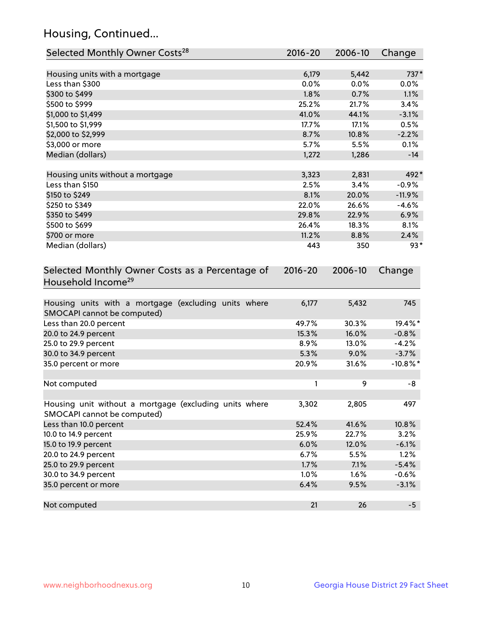## Housing, Continued...

| Selected Monthly Owner Costs <sup>28</sup>                                            | 2016-20     | 2006-10 | Change      |
|---------------------------------------------------------------------------------------|-------------|---------|-------------|
| Housing units with a mortgage                                                         | 6,179       | 5,442   | 737*        |
| Less than \$300                                                                       | 0.0%        | 0.0%    | 0.0%        |
| \$300 to \$499                                                                        | 1.8%        | 0.7%    | 1.1%        |
| \$500 to \$999                                                                        | 25.2%       | 21.7%   | 3.4%        |
| \$1,000 to \$1,499                                                                    | 41.0%       | 44.1%   | $-3.1%$     |
| \$1,500 to \$1,999                                                                    | 17.7%       | 17.1%   | 0.5%        |
| \$2,000 to \$2,999                                                                    | 8.7%        | 10.8%   | $-2.2%$     |
| \$3,000 or more                                                                       | 5.7%        | 5.5%    | 0.1%        |
| Median (dollars)                                                                      | 1,272       | 1,286   | $-14$       |
|                                                                                       |             |         |             |
| Housing units without a mortgage                                                      | 3,323       | 2,831   | 492*        |
| Less than \$150                                                                       | 2.5%        | 3.4%    | $-0.9%$     |
| \$150 to \$249                                                                        | 8.1%        | 20.0%   | $-11.9%$    |
| \$250 to \$349                                                                        | 22.0%       | 26.6%   | $-4.6%$     |
| \$350 to \$499                                                                        | 29.8%       | 22.9%   | 6.9%        |
| \$500 to \$699                                                                        | 26.4%       | 18.3%   | 8.1%        |
| \$700 or more                                                                         | 11.2%       | 8.8%    | 2.4%        |
| Median (dollars)                                                                      | 443         | 350     | $93*$       |
| Selected Monthly Owner Costs as a Percentage of<br>Household Income <sup>29</sup>     | $2016 - 20$ | 2006-10 | Change      |
| Housing units with a mortgage (excluding units where<br>SMOCAPI cannot be computed)   | 6,177       | 5,432   | 745         |
| Less than 20.0 percent                                                                | 49.7%       | 30.3%   | 19.4%*      |
| 20.0 to 24.9 percent                                                                  | 15.3%       | 16.0%   | $-0.8%$     |
| 25.0 to 29.9 percent                                                                  | 8.9%        | 13.0%   | $-4.2%$     |
| 30.0 to 34.9 percent                                                                  | 5.3%        | 9.0%    | $-3.7%$     |
| 35.0 percent or more                                                                  | 20.9%       | 31.6%   | $-10.8\%$ * |
| Not computed                                                                          | 1           | 9       | -8          |
| Housing unit without a mortgage (excluding units where<br>SMOCAPI cannot be computed) | 3,302       | 2,805   | 497         |
| Less than 10.0 percent                                                                | 52.4%       | 41.6%   | 10.8%       |
| 10.0 to 14.9 percent                                                                  | 25.9%       | 22.7%   | 3.2%        |
| 15.0 to 19.9 percent                                                                  | 6.0%        | 12.0%   | $-6.1%$     |
| 20.0 to 24.9 percent                                                                  | 6.7%        | 5.5%    | 1.2%        |
| 25.0 to 29.9 percent                                                                  | 1.7%        | 7.1%    | $-5.4%$     |
| 30.0 to 34.9 percent                                                                  | 1.0%        | 1.6%    | $-0.6%$     |
| 35.0 percent or more                                                                  | 6.4%        | 9.5%    | $-3.1%$     |
| Not computed                                                                          | 21          | 26      | $-5$        |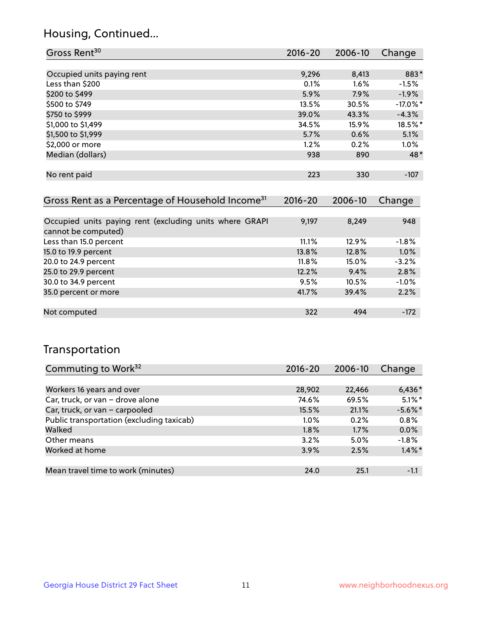## Housing, Continued...

| Gross Rent <sup>30</sup>                                     | 2016-20     | 2006-10 | Change      |
|--------------------------------------------------------------|-------------|---------|-------------|
|                                                              |             |         |             |
| Occupied units paying rent                                   | 9,296       | 8,413   | 883*        |
| Less than \$200                                              | 0.1%        | 1.6%    | $-1.5%$     |
| \$200 to \$499                                               | 5.9%        | 7.9%    | $-1.9%$     |
| \$500 to \$749                                               | 13.5%       | 30.5%   | $-17.0\%$ * |
| \$750 to \$999                                               | 39.0%       | 43.3%   | $-4.3%$     |
| \$1,000 to \$1,499                                           | 34.5%       | 15.9%   | 18.5%*      |
| \$1,500 to \$1,999                                           | 5.7%        | 0.6%    | 5.1%        |
| \$2,000 or more                                              | $1.2\%$     | 0.2%    | $1.0\%$     |
| Median (dollars)                                             | 938         | 890     | $48*$       |
|                                                              |             |         |             |
| No rent paid                                                 | 223         | 330     | $-107$      |
|                                                              |             |         |             |
| Gross Rent as a Percentage of Household Income <sup>31</sup> | $2016 - 20$ | 2006-10 | Change      |
|                                                              |             |         |             |
| Occupied units paying rent (excluding units where GRAPI      | 9,197       | 8,249   | 948         |

| cannot be computed)    |          |       |          |
|------------------------|----------|-------|----------|
| Less than 15.0 percent | 11.1%    | 12.9% | $-1.8\%$ |
| 15.0 to 19.9 percent   | 13.8%    | 12.8% | 1.0%     |
| 20.0 to 24.9 percent   | $11.8\%$ | 15.0% | $-3.2%$  |
| 25.0 to 29.9 percent   | 12.2%    | 9.4%  | 2.8%     |
| 30.0 to 34.9 percent   | 9.5%     | 10.5% | $-1.0%$  |
| 35.0 percent or more   | 41.7%    | 39.4% | 2.2%     |
|                        |          |       |          |
| Not computed           | 322      | 494   | $-172$   |

## Transportation

| Commuting to Work <sup>32</sup>           | 2016-20 | 2006-10 | Change     |
|-------------------------------------------|---------|---------|------------|
|                                           |         |         |            |
| Workers 16 years and over                 | 28,902  | 22,466  | $6,436*$   |
| Car, truck, or van - drove alone          | 74.6%   | 69.5%   | $5.1\%$ *  |
| Car, truck, or van - carpooled            | 15.5%   | 21.1%   | $-5.6\%$ * |
| Public transportation (excluding taxicab) | $1.0\%$ | 0.2%    | 0.8%       |
| Walked                                    | 1.8%    | 1.7%    | 0.0%       |
| Other means                               | 3.2%    | $5.0\%$ | $-1.8%$    |
| Worked at home                            | 3.9%    | 2.5%    | $1.4\%$ *  |
|                                           |         |         |            |
| Mean travel time to work (minutes)        | 24.0    | 25.1    | $-1.1$     |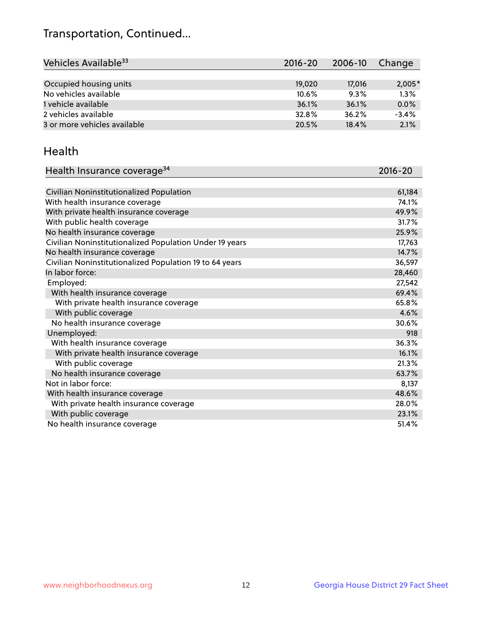## Transportation, Continued...

| Vehicles Available <sup>33</sup> | 2016-20 | 2006-10 | Change   |
|----------------------------------|---------|---------|----------|
|                                  |         |         |          |
| Occupied housing units           | 19,020  | 17,016  | $2,005*$ |
| No vehicles available            | 10.6%   | 9.3%    | 1.3%     |
| 1 vehicle available              | 36.1%   | 36.1%   | 0.0%     |
| 2 vehicles available             | 32.8%   | 36.2%   | $-3.4%$  |
| 3 or more vehicles available     | 20.5%   | 18.4%   | 2.1%     |

#### Health

| Health Insurance coverage <sup>34</sup>                 | 2016-20 |
|---------------------------------------------------------|---------|
|                                                         |         |
| Civilian Noninstitutionalized Population                | 61,184  |
| With health insurance coverage                          | 74.1%   |
| With private health insurance coverage                  | 49.9%   |
| With public health coverage                             | 31.7%   |
| No health insurance coverage                            | 25.9%   |
| Civilian Noninstitutionalized Population Under 19 years | 17,763  |
| No health insurance coverage                            | 14.7%   |
| Civilian Noninstitutionalized Population 19 to 64 years | 36,597  |
| In labor force:                                         | 28,460  |
| Employed:                                               | 27,542  |
| With health insurance coverage                          | 69.4%   |
| With private health insurance coverage                  | 65.8%   |
| With public coverage                                    | 4.6%    |
| No health insurance coverage                            | 30.6%   |
| Unemployed:                                             | 918     |
| With health insurance coverage                          | 36.3%   |
| With private health insurance coverage                  | 16.1%   |
| With public coverage                                    | 21.3%   |
| No health insurance coverage                            | 63.7%   |
| Not in labor force:                                     | 8,137   |
| With health insurance coverage                          | 48.6%   |
| With private health insurance coverage                  | 28.0%   |
| With public coverage                                    | 23.1%   |
| No health insurance coverage                            | 51.4%   |